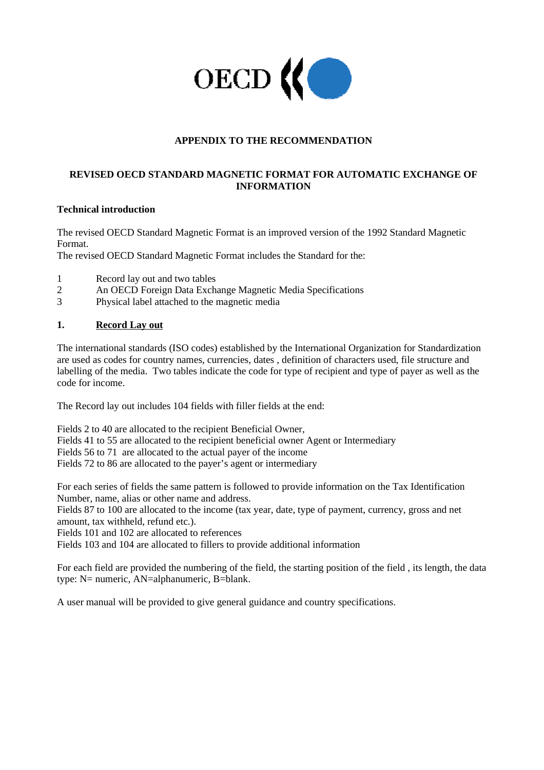

## **APPENDIX TO THE RECOMMENDATION**

### **REVISED OECD STANDARD MAGNETIC FORMAT FOR AUTOMATIC EXCHANGE OF INFORMATION**

### **Technical introduction**

The revised OECD Standard Magnetic Format is an improved version of the 1992 Standard Magnetic Format.

The revised OECD Standard Magnetic Format includes the Standard for the:

- 1 Record lay out and two tables
- 2 An OECD Foreign Data Exchange Magnetic Media Specifications
- 3 Physical label attached to the magnetic media

### **1. Record Lay out**

The international standards (ISO codes) established by the International Organization for Standardization are used as codes for country names, currencies, dates , definition of characters used, file structure and labelling of the media. Two tables indicate the code for type of recipient and type of payer as well as the code for income.

The Record lay out includes 104 fields with filler fields at the end:

Fields 2 to 40 are allocated to the recipient Beneficial Owner, Fields 41 to 55 are allocated to the recipient beneficial owner Agent or Intermediary Fields 56 to 71 are allocated to the actual payer of the income Fields 72 to 86 are allocated to the payer's agent or intermediary

For each series of fields the same pattern is followed to provide information on the Tax Identification Number, name, alias or other name and address.

Fields 87 to 100 are allocated to the income (tax year, date, type of payment, currency, gross and net amount, tax withheld, refund etc.).

Fields 101 and 102 are allocated to references

Fields 103 and 104 are allocated to fillers to provide additional information

For each field are provided the numbering of the field, the starting position of the field , its length, the data type: N= numeric, AN=alphanumeric, B=blank.

A user manual will be provided to give general guidance and country specifications.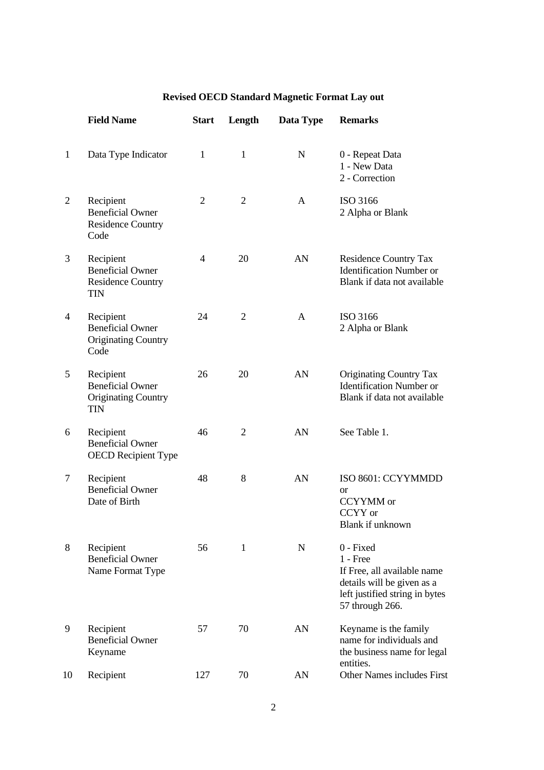|                | <b>Field Name</b>                                                                | <b>Start</b>   | Length         | Data Type    | <b>Remarks</b>                                                                                                                            |
|----------------|----------------------------------------------------------------------------------|----------------|----------------|--------------|-------------------------------------------------------------------------------------------------------------------------------------------|
| $\mathbf{1}$   | Data Type Indicator                                                              | 1              | 1              | N            | 0 - Repeat Data<br>1 - New Data<br>2 - Correction                                                                                         |
| $\overline{2}$ | Recipient<br><b>Beneficial Owner</b><br><b>Residence Country</b><br>Code         | $\overline{2}$ | $\overline{2}$ | $\mathsf{A}$ | ISO 3166<br>2 Alpha or Blank                                                                                                              |
| 3              | Recipient<br><b>Beneficial Owner</b><br><b>Residence Country</b><br><b>TIN</b>   | 4              | 20             | AN           | <b>Residence Country Tax</b><br><b>Identification Number or</b><br>Blank if data not available                                            |
| $\overline{4}$ | Recipient<br><b>Beneficial Owner</b><br><b>Originating Country</b><br>Code       | 24             | $\overline{2}$ | $\mathsf{A}$ | ISO 3166<br>2 Alpha or Blank                                                                                                              |
| 5              | Recipient<br><b>Beneficial Owner</b><br><b>Originating Country</b><br><b>TIN</b> | 26             | 20             | AN           | <b>Originating Country Tax</b><br><b>Identification Number or</b><br>Blank if data not available                                          |
| 6              | Recipient<br><b>Beneficial Owner</b><br><b>OECD</b> Recipient Type               | 46             | $\overline{2}$ | AN           | See Table 1.                                                                                                                              |
| 7              | Recipient<br><b>Beneficial Owner</b><br>Date of Birth                            | 48             | 8              | AN           | ISO 8601: CCYYMMDD<br><b>or</b><br><b>CCYYMM</b> or<br>CCYY or<br>Blank if unknown                                                        |
| 8              | Recipient<br><b>Beneficial Owner</b><br>Name Format Type                         | 56             | $\mathbf{1}$   | $\mathbf N$  | 0 - Fixed<br>$1$ - Free<br>If Free, all available name<br>details will be given as a<br>left justified string in bytes<br>57 through 266. |
| 9              | Recipient<br><b>Beneficial Owner</b><br>Keyname                                  | 57             | 70             | AN           | Keyname is the family<br>name for individuals and<br>the business name for legal<br>entities.                                             |
| 10             | Recipient                                                                        | 127            | 70             | AN           | Other Names includes First                                                                                                                |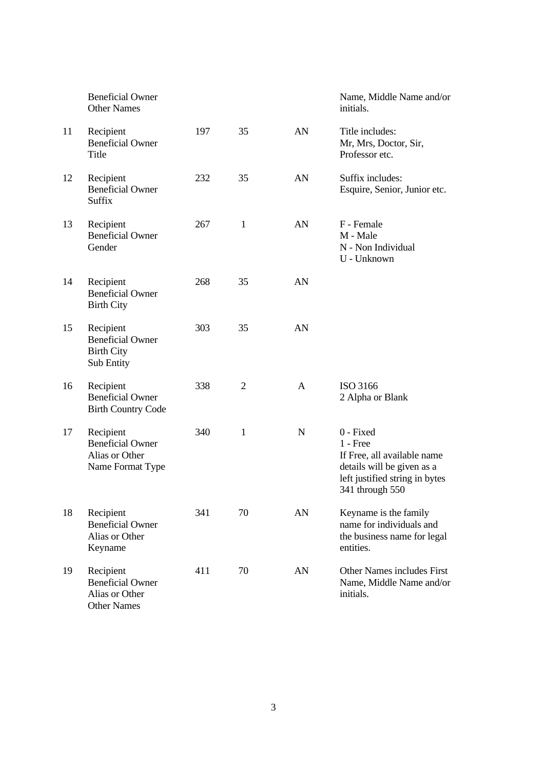|    | <b>Beneficial Owner</b><br><b>Other Names</b>                                |     |              |             | Name, Middle Name and/or<br>initials.                                                                                                     |
|----|------------------------------------------------------------------------------|-----|--------------|-------------|-------------------------------------------------------------------------------------------------------------------------------------------|
| 11 | Recipient<br><b>Beneficial Owner</b><br>Title                                | 197 | 35           | AN          | Title includes:<br>Mr, Mrs, Doctor, Sir,<br>Professor etc.                                                                                |
| 12 | Recipient<br><b>Beneficial Owner</b><br>Suffix                               | 232 | 35           | AN          | Suffix includes:<br>Esquire, Senior, Junior etc.                                                                                          |
| 13 | Recipient<br><b>Beneficial Owner</b><br>Gender                               | 267 | $\mathbf{1}$ | AN          | F - Female<br>M - Male<br>N - Non Individual<br>U - Unknown                                                                               |
| 14 | Recipient<br><b>Beneficial Owner</b><br><b>Birth City</b>                    | 268 | 35           | AN          |                                                                                                                                           |
| 15 | Recipient<br><b>Beneficial Owner</b><br><b>Birth City</b><br>Sub Entity      | 303 | 35           | AN          |                                                                                                                                           |
| 16 | Recipient<br><b>Beneficial Owner</b><br><b>Birth Country Code</b>            | 338 | 2            | A           | ISO 3166<br>2 Alpha or Blank                                                                                                              |
| 17 | Recipient<br><b>Beneficial Owner</b><br>Alias or Other<br>Name Format Type   | 340 | $\mathbf{1}$ | $\mathbf N$ | 0 - Fixed<br>$1 - Free$<br>If Free, all available name<br>details will be given as a<br>left justified string in bytes<br>341 through 550 |
| 18 | Recipient<br><b>Beneficial Owner</b><br>Alias or Other<br>Keyname            | 341 | 70           | AN          | Keyname is the family<br>name for individuals and<br>the business name for legal<br>entities.                                             |
| 19 | Recipient<br><b>Beneficial Owner</b><br>Alias or Other<br><b>Other Names</b> | 411 | 70           | AN          | Other Names includes First<br>Name, Middle Name and/or<br>initials.                                                                       |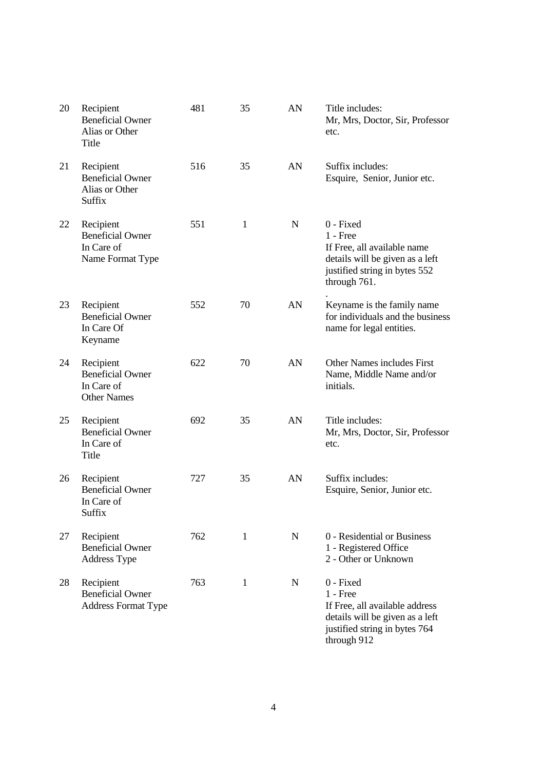| 20 | Recipient<br><b>Beneficial Owner</b><br>Alias or Other<br>Title          | 481 | 35           | AN          | Title includes:<br>Mr, Mrs, Doctor, Sir, Professor<br>etc.                                                                                   |
|----|--------------------------------------------------------------------------|-----|--------------|-------------|----------------------------------------------------------------------------------------------------------------------------------------------|
| 21 | Recipient<br><b>Beneficial Owner</b><br>Alias or Other<br>Suffix         | 516 | 35           | AN          | Suffix includes:<br>Esquire, Senior, Junior etc.                                                                                             |
| 22 | Recipient<br><b>Beneficial Owner</b><br>In Care of<br>Name Format Type   | 551 | 1            | $\mathbf N$ | 0 - Fixed<br>$1 -$ Free<br>If Free, all available name<br>details will be given as a left<br>justified string in bytes 552<br>through 761.   |
| 23 | Recipient<br><b>Beneficial Owner</b><br>In Care Of<br>Keyname            | 552 | 70           | AN          | Keyname is the family name<br>for individuals and the business<br>name for legal entities.                                                   |
| 24 | Recipient<br><b>Beneficial Owner</b><br>In Care of<br><b>Other Names</b> | 622 | 70           | AN          | Other Names includes First<br>Name, Middle Name and/or<br>initials.                                                                          |
| 25 | Recipient<br><b>Beneficial Owner</b><br>In Care of<br>Title              | 692 | 35           | AN          | Title includes:<br>Mr, Mrs, Doctor, Sir, Professor<br>etc.                                                                                   |
| 26 | Recipient<br><b>Beneficial Owner</b><br>In Care of<br>Suffix             | 727 | 35           | AN          | Suffix includes:<br>Esquire, Senior, Junior etc.                                                                                             |
| 27 | Recipient<br><b>Beneficial Owner</b><br>Address Type                     | 762 | $\mathbf{1}$ | $\mathbf N$ | 0 - Residential or Business<br>1 - Registered Office<br>2 - Other or Unknown                                                                 |
| 28 | Recipient<br><b>Beneficial Owner</b><br><b>Address Format Type</b>       | 763 | $\mathbf{1}$ | N           | 0 - Fixed<br>$1$ - Free<br>If Free, all available address<br>details will be given as a left<br>justified string in bytes 764<br>through 912 |

4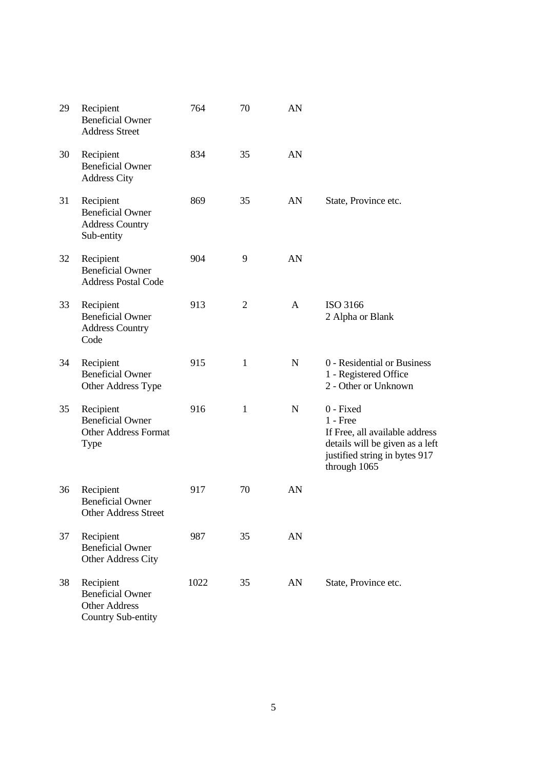| 29 | Recipient<br><b>Beneficial Owner</b><br><b>Address Street</b>                             | 764  | 70           | AN          |                                                                                                                                               |
|----|-------------------------------------------------------------------------------------------|------|--------------|-------------|-----------------------------------------------------------------------------------------------------------------------------------------------|
| 30 | Recipient<br><b>Beneficial Owner</b><br><b>Address City</b>                               | 834  | 35           | AN          |                                                                                                                                               |
| 31 | Recipient<br><b>Beneficial Owner</b><br><b>Address Country</b><br>Sub-entity              | 869  | 35           | AN          | State, Province etc.                                                                                                                          |
| 32 | Recipient<br><b>Beneficial Owner</b><br><b>Address Postal Code</b>                        | 904  | 9            | AN          |                                                                                                                                               |
| 33 | Recipient<br><b>Beneficial Owner</b><br><b>Address Country</b><br>Code                    | 913  | 2            | A           | ISO 3166<br>2 Alpha or Blank                                                                                                                  |
| 34 | Recipient<br><b>Beneficial Owner</b><br>Other Address Type                                | 915  | 1            | $\mathbf N$ | 0 - Residential or Business<br>1 - Registered Office<br>2 - Other or Unknown                                                                  |
| 35 | Recipient<br><b>Beneficial Owner</b><br><b>Other Address Format</b><br><b>Type</b>        | 916  | $\mathbf{1}$ | $\mathbf N$ | 0 - Fixed<br>$1 - Free$<br>If Free, all available address<br>details will be given as a left<br>justified string in bytes 917<br>through 1065 |
| 36 | Recipient<br><b>Beneficial Owner</b><br>Other Address Street                              | 917  | 70           | AN          |                                                                                                                                               |
| 37 | Recipient<br><b>Beneficial Owner</b><br>Other Address City                                | 987  | 35           | AN          |                                                                                                                                               |
| 38 | Recipient<br><b>Beneficial Owner</b><br><b>Other Address</b><br><b>Country Sub-entity</b> | 1022 | 35           | AN          | State, Province etc.                                                                                                                          |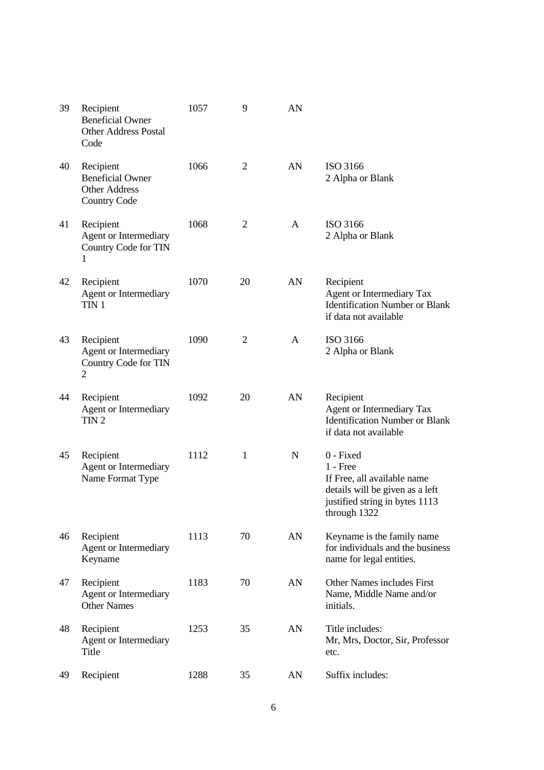| 39 | Recipient<br><b>Beneficial Owner</b><br><b>Other Address Postal</b><br>Code         | 1057 | 9              | AN |                                                                                                                                             |
|----|-------------------------------------------------------------------------------------|------|----------------|----|---------------------------------------------------------------------------------------------------------------------------------------------|
| 40 | Recipient<br><b>Beneficial Owner</b><br><b>Other Address</b><br><b>Country Code</b> | 1066 | $\overline{2}$ | AN | ISO 3166<br>2 Alpha or Blank                                                                                                                |
| 41 | Recipient<br>Agent or Intermediary<br>Country Code for TIN<br>1                     | 1068 | $\overline{2}$ | A  | ISO 3166<br>2 Alpha or Blank                                                                                                                |
| 42 | Recipient<br>Agent or Intermediary<br>TIN <sub>1</sub>                              | 1070 | 20             | AN | Recipient<br><b>Agent or Intermediary Tax</b><br><b>Identification Number or Blank</b><br>if data not available                             |
| 43 | Recipient<br>Agent or Intermediary<br>Country Code for TIN<br>2                     | 1090 | $\overline{2}$ | A  | ISO 3166<br>2 Alpha or Blank                                                                                                                |
| 44 | Recipient<br>Agent or Intermediary<br>TIN <sub>2</sub>                              | 1092 | 20             | AN | Recipient<br><b>Agent or Intermediary Tax</b><br><b>Identification Number or Blank</b><br>if data not available                             |
| 45 | Recipient<br>Agent or Intermediary<br>Name Format Type                              | 1112 | $\mathbf{1}$   | N  | 0 - Fixed<br>$1 - Free$<br>If Free, all available name<br>details will be given as a left<br>justified string in bytes 1113<br>through 1322 |
| 46 | Recipient<br>Agent or Intermediary<br>Keyname                                       | 1113 | 70             | AN | Keyname is the family name<br>for individuals and the business<br>name for legal entities.                                                  |
| 47 | Recipient<br>Agent or Intermediary<br><b>Other Names</b>                            | 1183 | 70             | AN | Other Names includes First<br>Name, Middle Name and/or<br>initials.                                                                         |
| 48 | Recipient<br>Agent or Intermediary<br>Title                                         | 1253 | 35             | AN | Title includes:<br>Mr, Mrs, Doctor, Sir, Professor<br>etc.                                                                                  |
| 49 | Recipient                                                                           | 1288 | 35             | AN | Suffix includes:                                                                                                                            |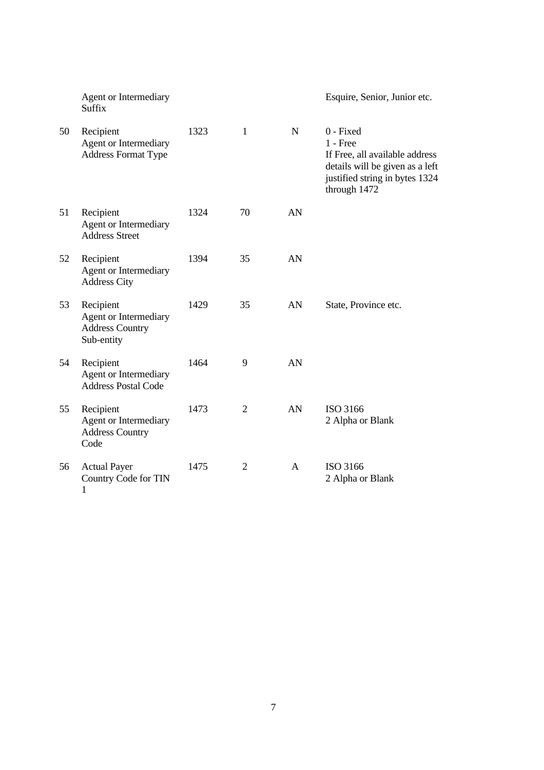|    | Agent or Intermediary<br><b>Suffix</b>                                     |      |                |             | Esquire, Senior, Junior etc.                                                                                                                   |
|----|----------------------------------------------------------------------------|------|----------------|-------------|------------------------------------------------------------------------------------------------------------------------------------------------|
| 50 | Recipient<br>Agent or Intermediary<br><b>Address Format Type</b>           | 1323 | $\mathbf{1}$   | $\mathbf N$ | 0 - Fixed<br>$1$ - Free<br>If Free, all available address<br>details will be given as a left<br>justified string in bytes 1324<br>through 1472 |
| 51 | Recipient<br>Agent or Intermediary<br><b>Address Street</b>                | 1324 | 70             | AN          |                                                                                                                                                |
| 52 | Recipient<br>Agent or Intermediary<br><b>Address City</b>                  | 1394 | 35             | AN          |                                                                                                                                                |
| 53 | Recipient<br>Agent or Intermediary<br><b>Address Country</b><br>Sub-entity | 1429 | 35             | AN          | State, Province etc.                                                                                                                           |
| 54 | Recipient<br>Agent or Intermediary<br><b>Address Postal Code</b>           | 1464 | 9              | AN          |                                                                                                                                                |
| 55 | Recipient<br>Agent or Intermediary<br><b>Address Country</b><br>Code       | 1473 | $\overline{2}$ | AN          | ISO 3166<br>2 Alpha or Blank                                                                                                                   |
| 56 | <b>Actual Payer</b><br>Country Code for TIN<br>$\mathbf{1}$                | 1475 | $\overline{2}$ | A           | ISO 3166<br>2 Alpha or Blank                                                                                                                   |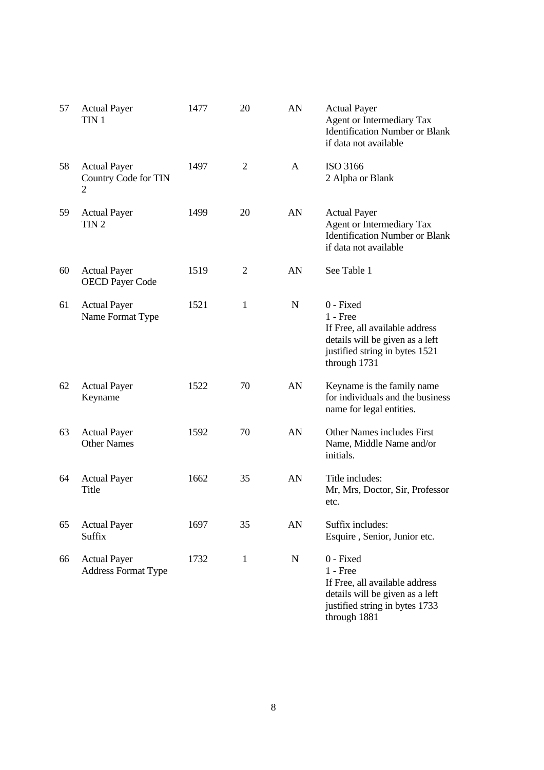| 57 | <b>Actual Payer</b><br>TIN <sub>1</sub>           | 1477 | 20 | AN          | <b>Actual Payer</b><br><b>Agent or Intermediary Tax</b><br><b>Identification Number or Blank</b><br>if data not available                      |
|----|---------------------------------------------------|------|----|-------------|------------------------------------------------------------------------------------------------------------------------------------------------|
| 58 | <b>Actual Payer</b><br>Country Code for TIN<br>2  | 1497 | 2  | A           | ISO 3166<br>2 Alpha or Blank                                                                                                                   |
| 59 | <b>Actual Payer</b><br>TIN <sub>2</sub>           | 1499 | 20 | AN          | <b>Actual Payer</b><br><b>Agent or Intermediary Tax</b><br><b>Identification Number or Blank</b><br>if data not available                      |
| 60 | <b>Actual Payer</b><br><b>OECD Payer Code</b>     | 1519 | 2  | AN          | See Table 1                                                                                                                                    |
| 61 | <b>Actual Payer</b><br>Name Format Type           | 1521 | 1  | N           | 0 - Fixed<br>$1 - Free$<br>If Free, all available address<br>details will be given as a left<br>justified string in bytes 1521<br>through 1731 |
| 62 | <b>Actual Payer</b><br>Keyname                    | 1522 | 70 | AN          | Keyname is the family name<br>for individuals and the business<br>name for legal entities.                                                     |
| 63 | <b>Actual Payer</b><br><b>Other Names</b>         | 1592 | 70 | AN          | Other Names includes First<br>Name, Middle Name and/or<br>initials.                                                                            |
| 64 | <b>Actual Payer</b><br>Title                      | 1662 | 35 | AN          | Title includes:<br>Mr, Mrs, Doctor, Sir, Professor<br>etc.                                                                                     |
| 65 | <b>Actual Payer</b><br>Suffix                     | 1697 | 35 | AN          | Suffix includes:<br>Esquire, Senior, Junior etc.                                                                                               |
| 66 | <b>Actual Payer</b><br><b>Address Format Type</b> | 1732 | 1  | $\mathbf N$ | 0 - Fixed<br>$1$ - Free<br>If Free, all available address<br>details will be given as a left<br>justified string in bytes 1733<br>through 1881 |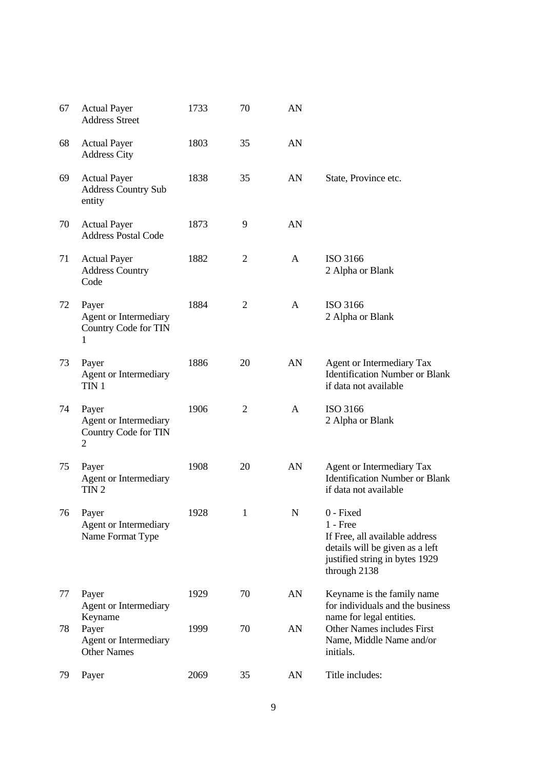| 67 | <b>Actual Payer</b><br><b>Address Street</b>                                    | 1733 | 70             | AN           |                                                                                                                                                |
|----|---------------------------------------------------------------------------------|------|----------------|--------------|------------------------------------------------------------------------------------------------------------------------------------------------|
| 68 | <b>Actual Payer</b><br><b>Address City</b>                                      | 1803 | 35             | AN           |                                                                                                                                                |
| 69 | <b>Actual Payer</b><br><b>Address Country Sub</b><br>entity                     | 1838 | 35             | AN           | State, Province etc.                                                                                                                           |
| 70 | <b>Actual Payer</b><br><b>Address Postal Code</b>                               | 1873 | 9              | AN           |                                                                                                                                                |
| 71 | <b>Actual Payer</b><br><b>Address Country</b><br>Code                           | 1882 | $\overline{2}$ | $\mathbf{A}$ | ISO 3166<br>2 Alpha or Blank                                                                                                                   |
| 72 | Payer<br><b>Agent or Intermediary</b><br>Country Code for TIN<br>I.             | 1884 | $\overline{2}$ | $\mathbf{A}$ | ISO 3166<br>2 Alpha or Blank                                                                                                                   |
| 73 | Payer<br>Agent or Intermediary<br>TIN <sub>1</sub>                              | 1886 | 20             | AN           | <b>Agent or Intermediary Tax</b><br><b>Identification Number or Blank</b><br>if data not available                                             |
| 74 | Payer<br><b>Agent or Intermediary</b><br>Country Code for TIN<br>$\overline{2}$ | 1906 | $\overline{2}$ | $\mathbf{A}$ | ISO 3166<br>2 Alpha or Blank                                                                                                                   |
| 75 | Payer<br>Agent or Intermediary<br>TIN <sub>2</sub>                              | 1908 | 20             | AN           | Agent or Intermediary Tax<br><b>Identification Number or Blank</b><br>if data not available                                                    |
| 76 | Payer<br>Agent or Intermediary<br>Name Format Type                              | 1928 |                | N            | 0 - Fixed<br>$1 - Free$<br>If Free, all available address<br>details will be given as a left<br>justified string in bytes 1929<br>through 2138 |
| 77 | Payer<br>Agent or Intermediary<br>Keyname                                       | 1929 | 70             | AN           | Keyname is the family name<br>for individuals and the business<br>name for legal entities.                                                     |
| 78 | Payer<br>Agent or Intermediary<br><b>Other Names</b>                            | 1999 | 70             | AN           | Other Names includes First<br>Name, Middle Name and/or<br>initials.                                                                            |
| 79 | Payer                                                                           | 2069 | 35             | AN           | Title includes:                                                                                                                                |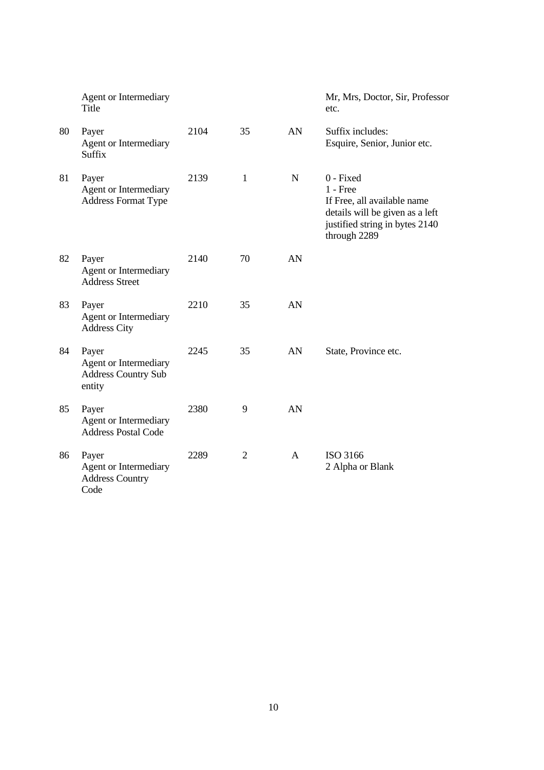|    | Agent or Intermediary<br>Title                                         |      |                |             | Mr, Mrs, Doctor, Sir, Professor<br>etc.                                                                                                     |
|----|------------------------------------------------------------------------|------|----------------|-------------|---------------------------------------------------------------------------------------------------------------------------------------------|
| 80 | Payer<br>Agent or Intermediary<br><b>Suffix</b>                        | 2104 | 35             | AN          | Suffix includes:<br>Esquire, Senior, Junior etc.                                                                                            |
| 81 | Payer<br><b>Agent or Intermediary</b><br><b>Address Format Type</b>    | 2139 | 1              | $\mathbf N$ | 0 - Fixed<br>$1 -$ Free<br>If Free, all available name<br>details will be given as a left<br>justified string in bytes 2140<br>through 2289 |
| 82 | Payer<br><b>Agent or Intermediary</b><br><b>Address Street</b>         | 2140 | 70             | AN          |                                                                                                                                             |
| 83 | Payer<br><b>Agent or Intermediary</b><br><b>Address City</b>           | 2210 | 35             | AN          |                                                                                                                                             |
| 84 | Payer<br>Agent or Intermediary<br><b>Address Country Sub</b><br>entity | 2245 | 35             | AN          | State, Province etc.                                                                                                                        |
| 85 | Payer<br><b>Agent or Intermediary</b><br><b>Address Postal Code</b>    | 2380 | 9              | AN          |                                                                                                                                             |
| 86 | Payer<br>Agent or Intermediary<br><b>Address Country</b><br>Code       | 2289 | $\overline{2}$ | A           | ISO 3166<br>2 Alpha or Blank                                                                                                                |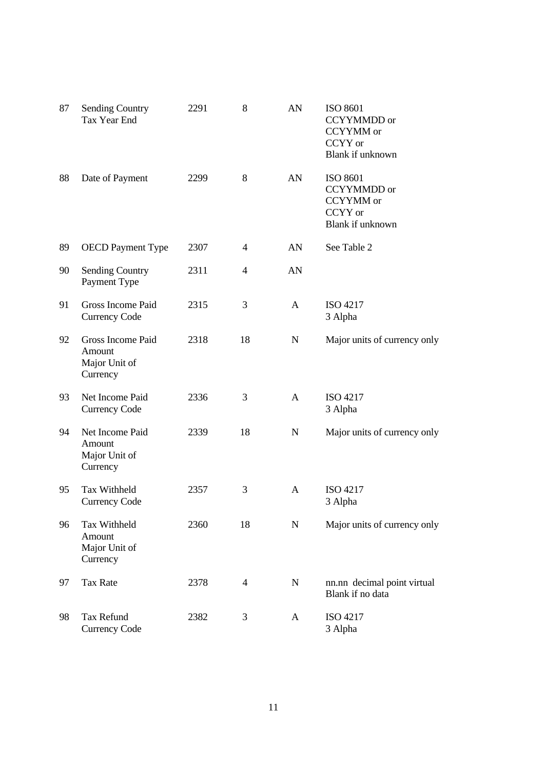| 87 | <b>Sending Country</b><br>Tax Year End                   | 2291 | 8              | AN           | <b>ISO 8601</b><br><b>CCYYMMDD</b> or<br>CCYYMM or<br>CCYY or<br>Blank if unknown |
|----|----------------------------------------------------------|------|----------------|--------------|-----------------------------------------------------------------------------------|
| 88 | Date of Payment                                          | 2299 | 8              | AN           | <b>ISO 8601</b><br>CCYYMMDD or<br>CCYYMM or<br>CCYY or<br>Blank if unknown        |
| 89 | <b>OECD</b> Payment Type                                 | 2307 | $\overline{4}$ | AN           | See Table 2                                                                       |
| 90 | <b>Sending Country</b><br>Payment Type                   | 2311 | 4              | AN           |                                                                                   |
| 91 | Gross Income Paid<br><b>Currency Code</b>                | 2315 | 3              | A            | ISO 4217<br>3 Alpha                                                               |
| 92 | Gross Income Paid<br>Amount<br>Major Unit of<br>Currency | 2318 | 18             | N            | Major units of currency only                                                      |
| 93 | Net Income Paid<br><b>Currency Code</b>                  | 2336 | 3              | $\mathbf{A}$ | ISO 4217<br>3 Alpha                                                               |
| 94 | Net Income Paid<br>Amount<br>Major Unit of<br>Currency   | 2339 | 18             | $\mathbf N$  | Major units of currency only                                                      |
| 95 | Tax Withheld<br><b>Currency Code</b>                     | 2357 | 3              | A            | ISO 4217<br>3 Alpha                                                               |
| 96 | Tax Withheld<br>Amount<br>Major Unit of<br>Currency      | 2360 | 18             | N            | Major units of currency only                                                      |
| 97 | <b>Tax Rate</b>                                          | 2378 | 4              | N            | nn.nn decimal point virtual<br>Blank if no data                                   |
| 98 | <b>Tax Refund</b><br><b>Currency Code</b>                | 2382 | 3              | A            | ISO 4217<br>3 Alpha                                                               |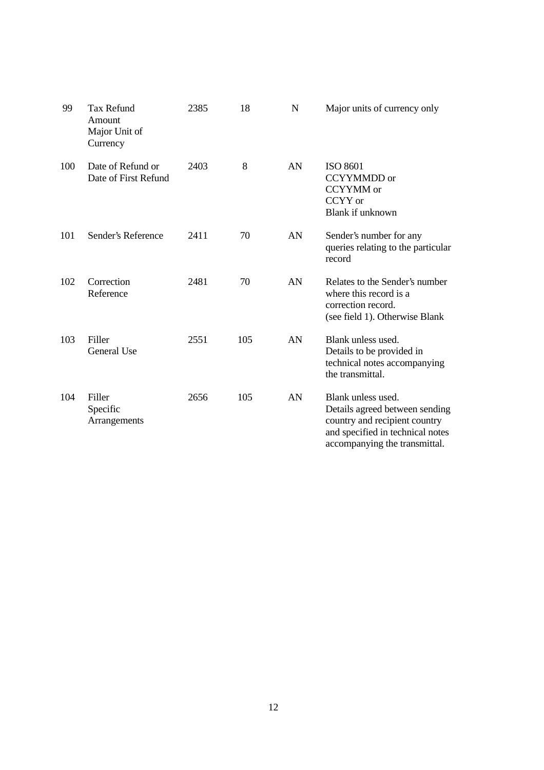| 99  | <b>Tax Refund</b><br>Amount<br>Major Unit of<br>Currency | 2385 | 18  | N  | Major units of currency only                                                                                                                               |
|-----|----------------------------------------------------------|------|-----|----|------------------------------------------------------------------------------------------------------------------------------------------------------------|
| 100 | Date of Refund or<br>Date of First Refund                | 2403 | 8   | AN | ISO 8601<br><b>CCYYMMDD</b> or<br><b>CCYYMM</b> or<br>CCYY or<br>Blank if unknown                                                                          |
| 101 | Sender's Reference                                       | 2411 | 70  | AN | Sender's number for any<br>queries relating to the particular<br>record                                                                                    |
| 102 | Correction<br>Reference                                  | 2481 | 70  | AN | Relates to the Sender's number<br>where this record is a<br>correction record.<br>(see field 1). Otherwise Blank                                           |
| 103 | Filler<br>General Use                                    | 2551 | 105 | AN | Blank unless used.<br>Details to be provided in<br>technical notes accompanying<br>the transmittal.                                                        |
| 104 | Filler<br>Specific<br>Arrangements                       | 2656 | 105 | AN | Blank unless used.<br>Details agreed between sending<br>country and recipient country<br>and specified in technical notes<br>accompanying the transmittal. |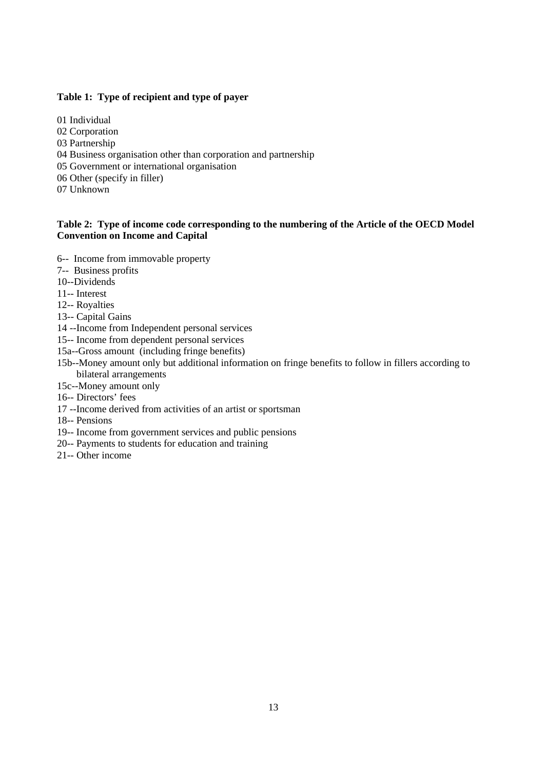### **Table 1: Type of recipient and type of payer**

01 Individual 02 Corporation 03 Partnership 04 Business organisation other than corporation and partnership 05 Government or international organisation 06 Other (specify in filler) 07 Unknown

#### **Table 2: Type of income code corresponding to the numbering of the Article of the OECD Model Convention on Income and Capital**

- 6-- Income from immovable property
- 7-- Business profits
- 10--Dividends
- 11-- Interest
- 12-- Royalties
- 13-- Capital Gains
- 14 --Income from Independent personal services
- 15-- Income from dependent personal services
- 15a--Gross amount (including fringe benefits)
- 15b--Money amount only but additional information on fringe benefits to follow in fillers according to bilateral arrangements
- 15c--Money amount only
- 16-- Directors' fees
- 17 --Income derived from activities of an artist or sportsman
- 18-- Pensions
- 19-- Income from government services and public pensions
- 20-- Payments to students for education and training
- 21-- Other income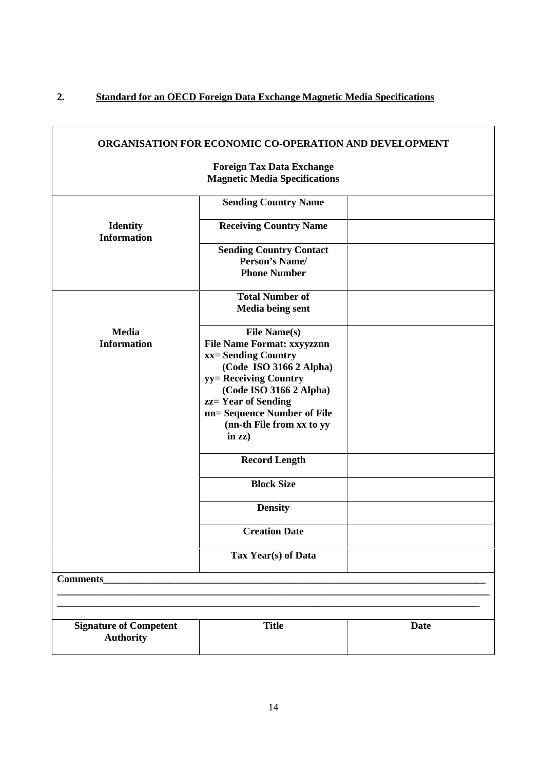# **2. Standard for an OECD Foreign Data Exchange Magnetic Media Specifications**

 $\mathsf{r}$ 

| <b>ORGANISATION FOR ECONOMIC CO-OPERATION AND DEVELOPMENT</b>            |                                                                                                                                                                                                                                                                                 |             |
|--------------------------------------------------------------------------|---------------------------------------------------------------------------------------------------------------------------------------------------------------------------------------------------------------------------------------------------------------------------------|-------------|
| <b>Foreign Tax Data Exchange</b><br><b>Magnetic Media Specifications</b> |                                                                                                                                                                                                                                                                                 |             |
|                                                                          | <b>Sending Country Name</b>                                                                                                                                                                                                                                                     |             |
| <b>Identity</b><br><b>Information</b>                                    | <b>Receiving Country Name</b>                                                                                                                                                                                                                                                   |             |
|                                                                          | <b>Sending Country Contact</b><br><b>Person's Name/</b><br><b>Phone Number</b>                                                                                                                                                                                                  |             |
|                                                                          | <b>Total Number of</b><br><b>Media being sent</b>                                                                                                                                                                                                                               |             |
| <b>Media</b><br><b>Information</b>                                       | <b>File Name(s)</b><br><b>File Name Format: xxyyzznn</b><br>xx= Sending Country<br>(Code ISO 3166 2 Alpha)<br>yy = Receiving Country<br>(Code ISO 3166 2 Alpha)<br>zz= Year of Sending<br>nn= Sequence Number of File<br>(nn-th File from xx to yy<br>in $\mathbf{z}\mathbf{z}$ |             |
|                                                                          | <b>Record Length</b>                                                                                                                                                                                                                                                            |             |
|                                                                          | <b>Block Size</b>                                                                                                                                                                                                                                                               |             |
|                                                                          | <b>Density</b>                                                                                                                                                                                                                                                                  |             |
|                                                                          | <b>Creation Date</b>                                                                                                                                                                                                                                                            |             |
|                                                                          | Tax Year(s) of Data                                                                                                                                                                                                                                                             |             |
| Comments_                                                                |                                                                                                                                                                                                                                                                                 |             |
|                                                                          |                                                                                                                                                                                                                                                                                 |             |
| <b>Signature of Competent</b><br><b>Authority</b>                        | <b>Title</b>                                                                                                                                                                                                                                                                    | <b>Date</b> |